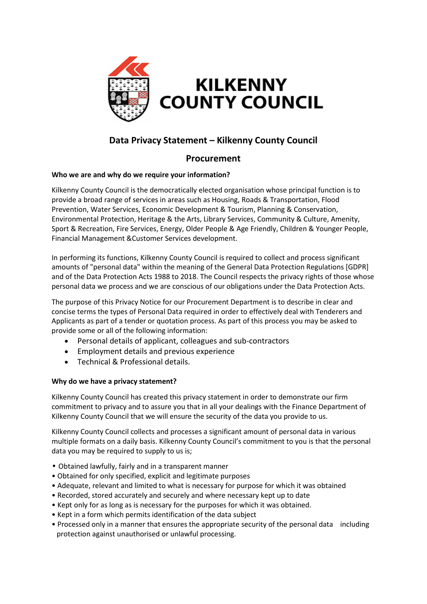

# **Data Privacy Statement – Kilkenny County Council**

## **Procurement**

## **Who we are and why do we require your information?**

Kilkenny County Council is the democratically elected organisation whose principal function is to provide a broad range of services in areas such as Housing, Roads & Transportation, Flood Prevention, Water Services, Economic Development & Tourism, Planning & Conservation, Environmental Protection, Heritage & the Arts, Library Services, Community & Culture, Amenity, Sport & Recreation, Fire Services, Energy, Older People & Age Friendly, Children & Younger People, Financial Management &Customer Services development.

In performing its functions, Kilkenny County Council is required to collect and process significant amounts of "personal data" within the meaning of the General Data Protection Regulations [GDPR] and of the Data Protection Acts 1988 to 2018. The Council respects the privacy rights of those whose personal data we process and we are conscious of our obligations under the Data Protection Acts.

The purpose of this Privacy Notice for our Procurement Department is to describe in clear and concise terms the types of Personal Data required in order to effectively deal with Tenderers and Applicants as part of a tender or quotation process. As part of this process you may be asked to provide some or all of the following information:

- Personal details of applicant, colleagues and sub-contractors
- Employment details and previous experience
- Technical & Professional details.

## **Why do we have a privacy statement?**

Kilkenny County Council has created this privacy statement in order to demonstrate our firm commitment to privacy and to assure you that in all your dealings with the Finance Department of Kilkenny County Council that we will ensure the security of the data you provide to us.

Kilkenny County Council collects and processes a significant amount of personal data in various multiple formats on a daily basis. Kilkenny County Council's commitment to you is that the personal data you may be required to supply to us is;

- Obtained lawfully, fairly and in a transparent manner
- Obtained for only specified, explicit and legitimate purposes
- Adequate, relevant and limited to what is necessary for purpose for which it was obtained
- Recorded, stored accurately and securely and where necessary kept up to date
- Kept only for as long as is necessary for the purposes for which it was obtained.
- Kept in a form which permits identification of the data subject
- Processed only in a manner that ensures the appropriate security of the personal data including protection against unauthorised or unlawful processing.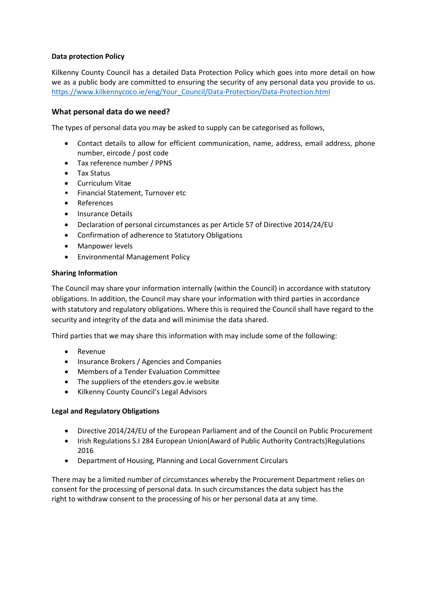## **Data protection Policy**

Kilkenny County Council has a detailed Data Protection Policy which goes into more detail on how we as a public body are committed to ensuring the security of any personal data you provide to us. [https://www.kilkennycoco.ie/eng/Your\\_Council/Data-Protection/Data-Protection.html](https://www.kilkennycoco.ie/eng/Your_Council/Data-Protection/Data-Protection.html)

## **What personal data do we need?**

The types of personal data you may be asked to supply can be categorised as follows,

- Contact details to allow for efficient communication, name, address, email address, phone number, eircode / post code
- Tax reference number / PPNS
- Tax Status
- Curriculum Vitae
- Financial Statement, Turnover etc
- References
- Insurance Details
- Declaration of personal circumstances as per Article 57 of Directive 2014/24/EU
- Confirmation of adherence to Statutory Obligations
- Manpower levels
- Environmental Management Policy

## **Sharing Information**

The Council may share your information internally (within the Council) in accordance with statutory obligations. In addition, the Council may share your information with third parties in accordance with statutory and regulatory obligations. Where this is required the Council shall have regard to the security and integrity of the data and will minimise the data shared.

Third parties that we may share this information with may include some of the following:

- Revenue
- Insurance Brokers / Agencies and Companies
- Members of a Tender Evaluation Committee
- The suppliers of the etenders.gov.ie website
- Kilkenny County Council's Legal Advisors

### **Legal and Regulatory Obligations**

- Directive 2014/24/EU of the European Parliament and of the Council on Public Procurement
- Irish Regulations S.I 284 European Union(Award of Public Authority Contracts) Regulations 2016
- Department of Housing, Planning and Local Government Circulars

There may be a limited number of circumstances whereby the Procurement Department relies on consent for the processing of personal data. In such circumstances the data subject has the right to withdraw consent to the processing of his or her personal data at any time.